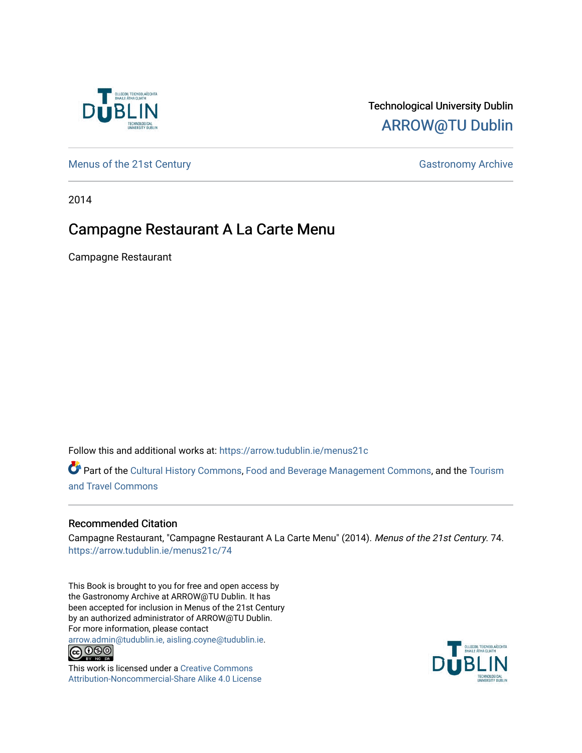

## Technological University Dublin [ARROW@TU Dublin](https://arrow.tudublin.ie/)

[Menus of the 21st Century](https://arrow.tudublin.ie/menus21c) Gastronomy Archive

2014

## Campagne Restaurant A La Carte Menu

Campagne Restaurant

Follow this and additional works at: [https://arrow.tudublin.ie/menus21c](https://arrow.tudublin.ie/menus21c?utm_source=arrow.tudublin.ie%2Fmenus21c%2F74&utm_medium=PDF&utm_campaign=PDFCoverPages) 

Part of the [Cultural History Commons](http://network.bepress.com/hgg/discipline/496?utm_source=arrow.tudublin.ie%2Fmenus21c%2F74&utm_medium=PDF&utm_campaign=PDFCoverPages), [Food and Beverage Management Commons,](http://network.bepress.com/hgg/discipline/1089?utm_source=arrow.tudublin.ie%2Fmenus21c%2F74&utm_medium=PDF&utm_campaign=PDFCoverPages) and the [Tourism](http://network.bepress.com/hgg/discipline/1082?utm_source=arrow.tudublin.ie%2Fmenus21c%2F74&utm_medium=PDF&utm_campaign=PDFCoverPages) [and Travel Commons](http://network.bepress.com/hgg/discipline/1082?utm_source=arrow.tudublin.ie%2Fmenus21c%2F74&utm_medium=PDF&utm_campaign=PDFCoverPages)

## Recommended Citation

Campagne Restaurant, "Campagne Restaurant A La Carte Menu" (2014). Menus of the 21st Century. 74. [https://arrow.tudublin.ie/menus21c/74](https://arrow.tudublin.ie/menus21c/74?utm_source=arrow.tudublin.ie%2Fmenus21c%2F74&utm_medium=PDF&utm_campaign=PDFCoverPages)

This Book is brought to you for free and open access by the Gastronomy Archive at ARROW@TU Dublin. It has been accepted for inclusion in Menus of the 21st Century by an authorized administrator of ARROW@TU Dublin. For more information, please contact

[arrow.admin@tudublin.ie, aisling.coyne@tudublin.ie](mailto:arrow.admin@tudublin.ie,%20aisling.coyne@tudublin.ie).<br>
co 060



This work is licensed under a [Creative Commons](http://creativecommons.org/licenses/by-nc-sa/4.0/) [Attribution-Noncommercial-Share Alike 4.0 License](http://creativecommons.org/licenses/by-nc-sa/4.0/)